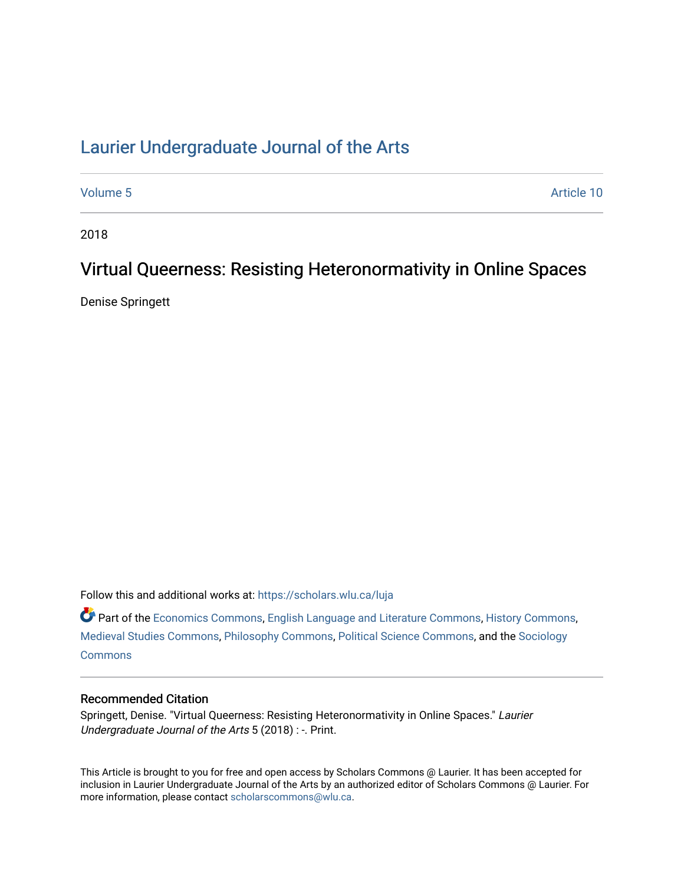## [Laurier Undergraduate Journal of the Arts](https://scholars.wlu.ca/luja)

[Volume 5](https://scholars.wlu.ca/luja/vol5) Article 10

2018

# Virtual Queerness: Resisting Heteronormativity in Online Spaces

Denise Springett

Follow this and additional works at: [https://scholars.wlu.ca/luja](https://scholars.wlu.ca/luja?utm_source=scholars.wlu.ca%2Fluja%2Fvol5%2Fiss1%2F10&utm_medium=PDF&utm_campaign=PDFCoverPages) 

Part of the [Economics Commons](http://network.bepress.com/hgg/discipline/340?utm_source=scholars.wlu.ca%2Fluja%2Fvol5%2Fiss1%2F10&utm_medium=PDF&utm_campaign=PDFCoverPages), [English Language and Literature Commons,](http://network.bepress.com/hgg/discipline/455?utm_source=scholars.wlu.ca%2Fluja%2Fvol5%2Fiss1%2F10&utm_medium=PDF&utm_campaign=PDFCoverPages) [History Commons,](http://network.bepress.com/hgg/discipline/489?utm_source=scholars.wlu.ca%2Fluja%2Fvol5%2Fiss1%2F10&utm_medium=PDF&utm_campaign=PDFCoverPages) [Medieval Studies Commons](http://network.bepress.com/hgg/discipline/480?utm_source=scholars.wlu.ca%2Fluja%2Fvol5%2Fiss1%2F10&utm_medium=PDF&utm_campaign=PDFCoverPages), [Philosophy Commons](http://network.bepress.com/hgg/discipline/525?utm_source=scholars.wlu.ca%2Fluja%2Fvol5%2Fiss1%2F10&utm_medium=PDF&utm_campaign=PDFCoverPages), [Political Science Commons](http://network.bepress.com/hgg/discipline/386?utm_source=scholars.wlu.ca%2Fluja%2Fvol5%2Fiss1%2F10&utm_medium=PDF&utm_campaign=PDFCoverPages), and the [Sociology](http://network.bepress.com/hgg/discipline/416?utm_source=scholars.wlu.ca%2Fluja%2Fvol5%2Fiss1%2F10&utm_medium=PDF&utm_campaign=PDFCoverPages)  **[Commons](http://network.bepress.com/hgg/discipline/416?utm_source=scholars.wlu.ca%2Fluja%2Fvol5%2Fiss1%2F10&utm_medium=PDF&utm_campaign=PDFCoverPages)** 

### Recommended Citation

Springett, Denise. "Virtual Queerness: Resisting Heteronormativity in Online Spaces." Laurier Undergraduate Journal of the Arts 5 (2018) : -. Print.

This Article is brought to you for free and open access by Scholars Commons @ Laurier. It has been accepted for inclusion in Laurier Undergraduate Journal of the Arts by an authorized editor of Scholars Commons @ Laurier. For more information, please contact [scholarscommons@wlu.ca](mailto:scholarscommons@wlu.ca).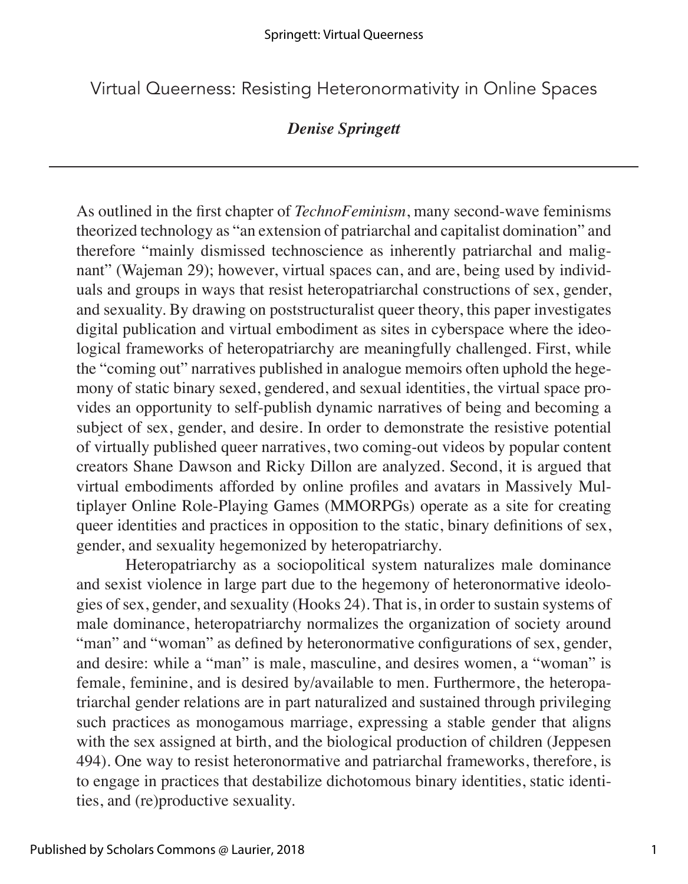Virtual Queerness: Resisting Heteronormativity in Online Spaces

## *Denise Springett*

As outlined in the first chapter of *TechnoFeminism*, many second-wave feminisms theorized technology as "an extension of patriarchal and capitalist domination" and therefore "mainly dismissed technoscience as inherently patriarchal and malignant" (Wajeman 29); however, virtual spaces can, and are, being used by individuals and groups in ways that resist heteropatriarchal constructions of sex, gender, and sexuality. By drawing on poststructuralist queer theory, this paper investigates digital publication and virtual embodiment as sites in cyberspace where the ideological frameworks of heteropatriarchy are meaningfully challenged. First, while the "coming out" narratives published in analogue memoirs often uphold the hegemony of static binary sexed, gendered, and sexual identities, the virtual space provides an opportunity to self-publish dynamic narratives of being and becoming a subject of sex, gender, and desire. In order to demonstrate the resistive potential of virtually published queer narratives, two coming-out videos by popular content creators Shane Dawson and Ricky Dillon are analyzed. Second, it is argued that virtual embodiments afforded by online profiles and avatars in Massively Multiplayer Online Role-Playing Games (MMORPGs) operate as a site for creating queer identities and practices in opposition to the static, binary definitions of sex, gender, and sexuality hegemonized by heteropatriarchy.

Heteropatriarchy as a sociopolitical system naturalizes male dominance and sexist violence in large part due to the hegemony of heteronormative ideologies of sex, gender, and sexuality (Hooks 24). That is, in order to sustain systems of male dominance, heteropatriarchy normalizes the organization of society around "man" and "woman" as defined by heteronormative configurations of sex, gender, and desire: while a "man" is male, masculine, and desires women, a "woman" is female, feminine, and is desired by/available to men. Furthermore, the heteropatriarchal gender relations are in part naturalized and sustained through privileging such practices as monogamous marriage, expressing a stable gender that aligns with the sex assigned at birth, and the biological production of children (Jeppesen 494). One way to resist heteronormative and patriarchal frameworks, therefore, is to engage in practices that destabilize dichotomous binary identities, static identities, and (re)productive sexuality.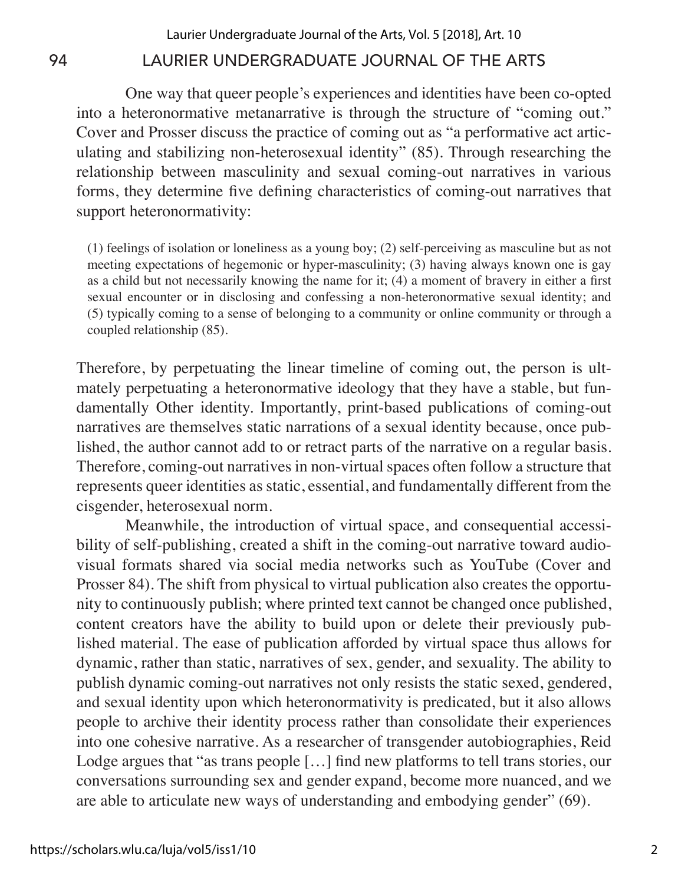One way that queer people's experiences and identities have been co-opted into a heteronormative metanarrative is through the structure of "coming out." Cover and Prosser discuss the practice of coming out as "a performative act articulating and stabilizing non-heterosexual identity" (85). Through researching the relationship between masculinity and sexual coming-out narratives in various forms, they determine five defining characteristics of coming-out narratives that support heteronormativity:

(1) feelings of isolation or loneliness as a young boy; (2) self-perceiving as masculine but as not meeting expectations of hegemonic or hyper-masculinity; (3) having always known one is gay as a child but not necessarily knowing the name for it; (4) a moment of bravery in either a first sexual encounter or in disclosing and confessing a non-heteronormative sexual identity; and (5) typically coming to a sense of belonging to a community or online community or through a coupled relationship (85).

Therefore, by perpetuating the linear timeline of coming out, the person is ultmately perpetuating a heteronormative ideology that they have a stable, but fundamentally Other identity. Importantly, print-based publications of coming-out narratives are themselves static narrations of a sexual identity because, once published, the author cannot add to or retract parts of the narrative on a regular basis. Therefore, coming-out narratives in non-virtual spaces often follow a structure that represents queer identities as static, essential, and fundamentally different from the cisgender, heterosexual norm.

Meanwhile, the introduction of virtual space, and consequential accessibility of self-publishing, created a shift in the coming-out narrative toward audiovisual formats shared via social media networks such as YouTube (Cover and Prosser 84). The shift from physical to virtual publication also creates the opportunity to continuously publish; where printed text cannot be changed once published, content creators have the ability to build upon or delete their previously published material. The ease of publication afforded by virtual space thus allows for dynamic, rather than static, narratives of sex, gender, and sexuality. The ability to publish dynamic coming-out narratives not only resists the static sexed, gendered, and sexual identity upon which heteronormativity is predicated, but it also allows people to archive their identity process rather than consolidate their experiences into one cohesive narrative. As a researcher of transgender autobiographies, Reid Lodge argues that "as trans people [...] find new platforms to tell trans stories, our conversations surrounding sex and gender expand, become more nuanced, and we are able to articulate new ways of understanding and embodying gender" (69).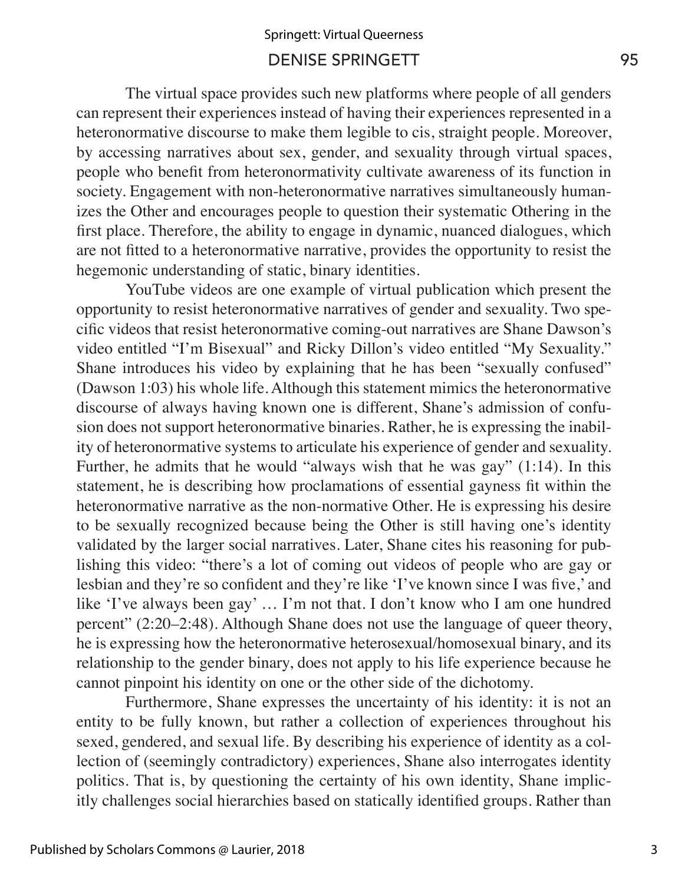## DENISE SPRINGETT 95 Springett: Virtual Queerness

The virtual space provides such new platforms where people of all genders can represent their experiences instead of having their experiences represented in a heteronormative discourse to make them legible to cis, straight people. Moreover, by accessing narratives about sex, gender, and sexuality through virtual spaces, people who benefit from heteronormativity cultivate awareness of its function in society. Engagement with non-heteronormative narratives simultaneously humanizes the Other and encourages people to question their systematic Othering in the first place. Therefore, the ability to engage in dynamic, nuanced dialogues, which are not fitted to a heteronormative narrative, provides the opportunity to resist the hegemonic understanding of static, binary identities.

YouTube videos are one example of virtual publication which present the opportunity to resist heteronormative narratives of gender and sexuality. Two specific videos that resist heteronormative coming-out narratives are Shane Dawson's video entitled "I'm Bisexual" and Ricky Dillon's video entitled "My Sexuality." Shane introduces his video by explaining that he has been "sexually confused" (Dawson 1:03) his whole life. Although this statement mimics the heteronormative discourse of always having known one is different, Shane's admission of confusion does not support heteronormative binaries. Rather, he is expressing the inability of heteronormative systems to articulate his experience of gender and sexuality. Further, he admits that he would "always wish that he was gay" (1:14). In this statement, he is describing how proclamations of essential gayness fit within the heteronormative narrative as the non-normative Other. He is expressing his desire to be sexually recognized because being the Other is still having one's identity validated by the larger social narratives. Later, Shane cites his reasoning for publishing this video: "there's a lot of coming out videos of people who are gay or lesbian and they're so confident and they're like 'I've known since I was five,' and like 'I've always been gay' … I'm not that. I don't know who I am one hundred percent" (2:20–2:48). Although Shane does not use the language of queer theory, he is expressing how the heteronormative heterosexual/homosexual binary, and its relationship to the gender binary, does not apply to his life experience because he cannot pinpoint his identity on one or the other side of the dichotomy.

Furthermore, Shane expresses the uncertainty of his identity: it is not an entity to be fully known, but rather a collection of experiences throughout his sexed, gendered, and sexual life. By describing his experience of identity as a collection of (seemingly contradictory) experiences, Shane also interrogates identity politics. That is, by questioning the certainty of his own identity, Shane implicitly challenges social hierarchies based on statically identified groups. Rather than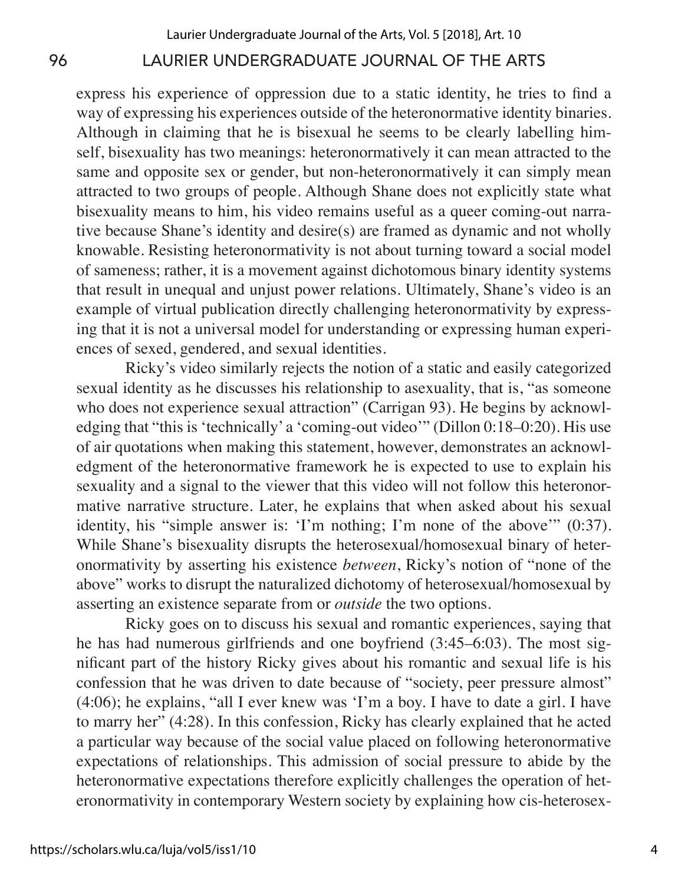express his experience of oppression due to a static identity, he tries to find a way of expressing his experiences outside of the heteronormative identity binaries. Although in claiming that he is bisexual he seems to be clearly labelling himself, bisexuality has two meanings: heteronormatively it can mean attracted to the same and opposite sex or gender, but non-heteronormatively it can simply mean attracted to two groups of people. Although Shane does not explicitly state what bisexuality means to him, his video remains useful as a queer coming-out narrative because Shane's identity and desire(s) are framed as dynamic and not wholly knowable. Resisting heteronormativity is not about turning toward a social model of sameness; rather, it is a movement against dichotomous binary identity systems that result in unequal and unjust power relations. Ultimately, Shane's video is an example of virtual publication directly challenging heteronormativity by expressing that it is not a universal model for understanding or expressing human experiences of sexed, gendered, and sexual identities.

Ricky's video similarly rejects the notion of a static and easily categorized sexual identity as he discusses his relationship to asexuality, that is, "as someone who does not experience sexual attraction" (Carrigan 93). He begins by acknowledging that "this is 'technically' a 'coming-out video'" (Dillon 0:18–0:20). His use of air quotations when making this statement, however, demonstrates an acknowledgment of the heteronormative framework he is expected to use to explain his sexuality and a signal to the viewer that this video will not follow this heteronormative narrative structure. Later, he explains that when asked about his sexual identity, his "simple answer is: 'I'm nothing; I'm none of the above'" (0:37). While Shane's bisexuality disrupts the heterosexual/homosexual binary of heteronormativity by asserting his existence *between*, Ricky's notion of "none of the above" works to disrupt the naturalized dichotomy of heterosexual/homosexual by asserting an existence separate from or *outside* the two options.

Ricky goes on to discuss his sexual and romantic experiences, saying that he has had numerous girlfriends and one boyfriend (3:45–6:03). The most significant part of the history Ricky gives about his romantic and sexual life is his confession that he was driven to date because of "society, peer pressure almost" (4:06); he explains, "all I ever knew was 'I'm a boy. I have to date a girl. I have to marry her" (4:28). In this confession, Ricky has clearly explained that he acted a particular way because of the social value placed on following heteronormative expectations of relationships. This admission of social pressure to abide by the heteronormative expectations therefore explicitly challenges the operation of heteronormativity in contemporary Western society by explaining how cis-heterosex-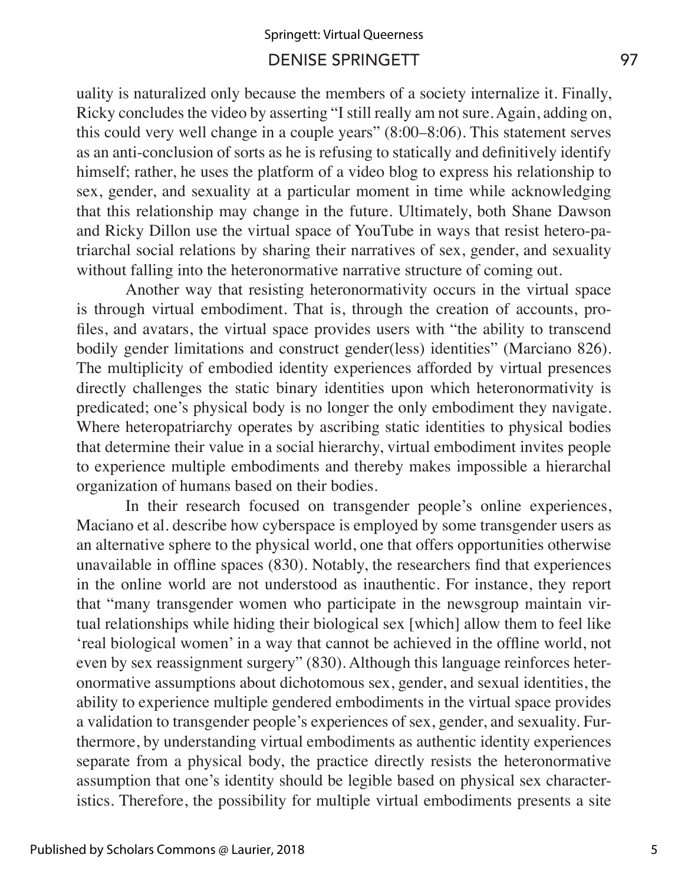## DENISE SPRINGETT 97 Springett: Virtual Queerness

uality is naturalized only because the members of a society internalize it. Finally, Ricky concludes the video by asserting "I still really am not sure. Again, adding on, this could very well change in a couple years" (8:00–8:06). This statement serves as an anti-conclusion of sorts as he is refusing to statically and definitively identify himself; rather, he uses the platform of a video blog to express his relationship to sex, gender, and sexuality at a particular moment in time while acknowledging that this relationship may change in the future. Ultimately, both Shane Dawson and Ricky Dillon use the virtual space of YouTube in ways that resist hetero-patriarchal social relations by sharing their narratives of sex, gender, and sexuality without falling into the heteronormative narrative structure of coming out.

Another way that resisting heteronormativity occurs in the virtual space is through virtual embodiment. That is, through the creation of accounts, profiles, and avatars, the virtual space provides users with "the ability to transcend bodily gender limitations and construct gender(less) identities" (Marciano 826). The multiplicity of embodied identity experiences afforded by virtual presences directly challenges the static binary identities upon which heteronormativity is predicated; one's physical body is no longer the only embodiment they navigate. Where heteropatriarchy operates by ascribing static identities to physical bodies that determine their value in a social hierarchy, virtual embodiment invites people to experience multiple embodiments and thereby makes impossible a hierarchal organization of humans based on their bodies.

In their research focused on transgender people's online experiences, Maciano et al. describe how cyberspace is employed by some transgender users as an alternative sphere to the physical world, one that offers opportunities otherwise unavailable in offline spaces (830). Notably, the researchers find that experiences in the online world are not understood as inauthentic. For instance, they report that "many transgender women who participate in the newsgroup maintain virtual relationships while hiding their biological sex [which] allow them to feel like 'real biological women' in a way that cannot be achieved in the offline world, not even by sex reassignment surgery" (830). Although this language reinforces heteronormative assumptions about dichotomous sex, gender, and sexual identities, the ability to experience multiple gendered embodiments in the virtual space provides a validation to transgender people's experiences of sex, gender, and sexuality. Furthermore, by understanding virtual embodiments as authentic identity experiences separate from a physical body, the practice directly resists the heteronormative assumption that one's identity should be legible based on physical sex characteristics. Therefore, the possibility for multiple virtual embodiments presents a site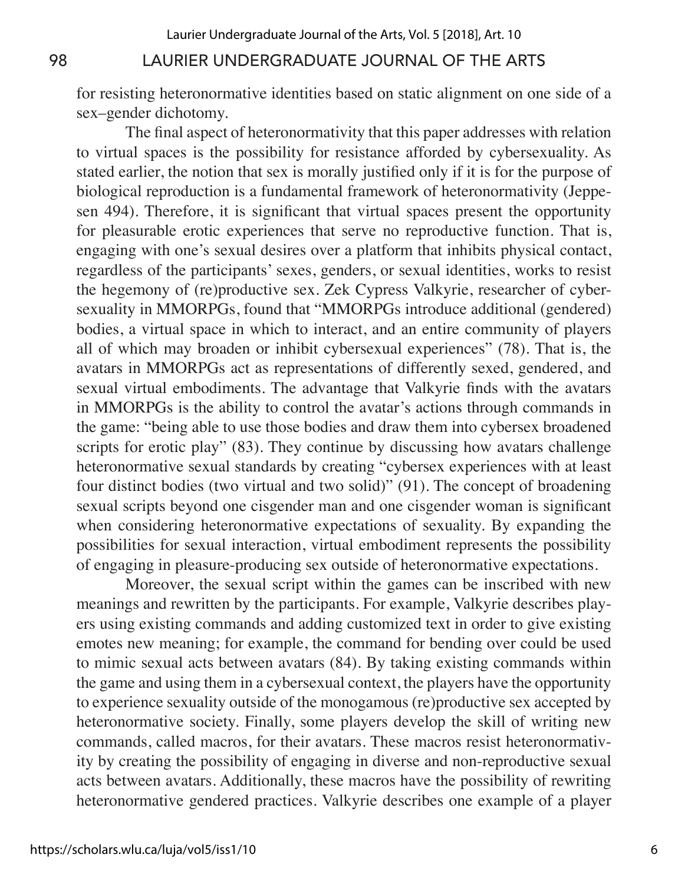for resisting heteronormative identities based on static alignment on one side of a sex–gender dichotomy.

The final aspect of heteronormativity that this paper addresses with relation to virtual spaces is the possibility for resistance afforded by cybersexuality. As stated earlier, the notion that sex is morally justified only if it is for the purpose of biological reproduction is a fundamental framework of heteronormativity (Jeppesen 494). Therefore, it is significant that virtual spaces present the opportunity for pleasurable erotic experiences that serve no reproductive function. That is, engaging with one's sexual desires over a platform that inhibits physical contact, regardless of the participants' sexes, genders, or sexual identities, works to resist the hegemony of (re)productive sex. Zek Cypress Valkyrie, researcher of cybersexuality in MMORPGs, found that "MMORPGs introduce additional (gendered) bodies, a virtual space in which to interact, and an entire community of players all of which may broaden or inhibit cybersexual experiences" (78). That is, the avatars in MMORPGs act as representations of differently sexed, gendered, and sexual virtual embodiments. The advantage that Valkyrie finds with the avatars in MMORPGs is the ability to control the avatar's actions through commands in the game: "being able to use those bodies and draw them into cybersex broadened scripts for erotic play" (83). They continue by discussing how avatars challenge heteronormative sexual standards by creating "cybersex experiences with at least four distinct bodies (two virtual and two solid)" (91). The concept of broadening sexual scripts beyond one cisgender man and one cisgender woman is significant when considering heteronormative expectations of sexuality. By expanding the possibilities for sexual interaction, virtual embodiment represents the possibility of engaging in pleasure-producing sex outside of heteronormative expectations.

Moreover, the sexual script within the games can be inscribed with new meanings and rewritten by the participants. For example, Valkyrie describes players using existing commands and adding customized text in order to give existing emotes new meaning; for example, the command for bending over could be used to mimic sexual acts between avatars (84). By taking existing commands within the game and using them in a cybersexual context, the players have the opportunity to experience sexuality outside of the monogamous (re)productive sex accepted by heteronormative society. Finally, some players develop the skill of writing new commands, called macros, for their avatars. These macros resist heteronormativity by creating the possibility of engaging in diverse and non-reproductive sexual acts between avatars. Additionally, these macros have the possibility of rewriting heteronormative gendered practices. Valkyrie describes one example of a player

6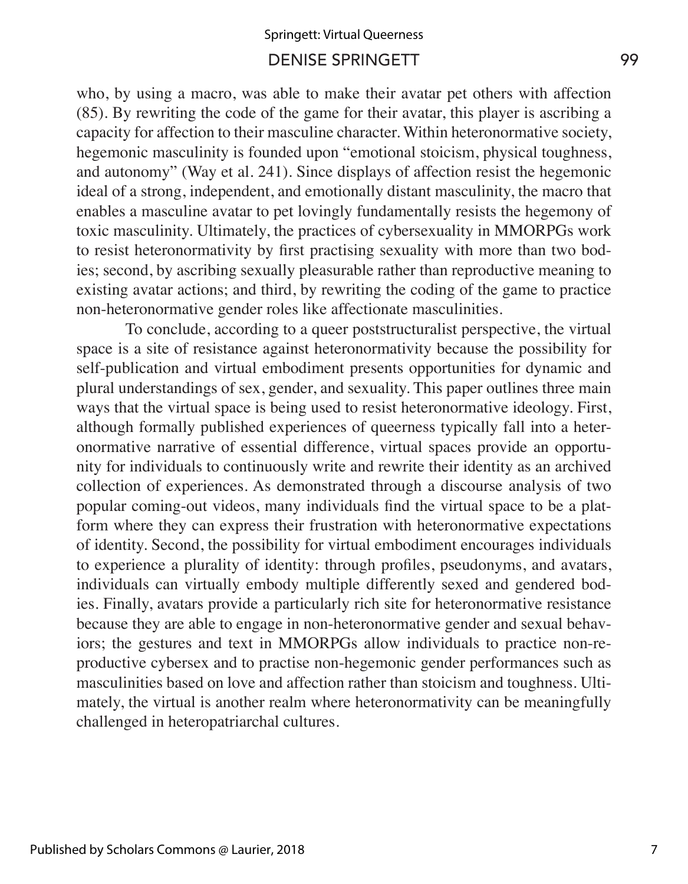## DENISE SPRINGETT 99 Springett: Virtual Queerness

who, by using a macro, was able to make their avatar pet others with affection (85). By rewriting the code of the game for their avatar, this player is ascribing a capacity for affection to their masculine character. Within heteronormative society, hegemonic masculinity is founded upon "emotional stoicism, physical toughness, and autonomy" (Way et al. 241). Since displays of affection resist the hegemonic ideal of a strong, independent, and emotionally distant masculinity, the macro that enables a masculine avatar to pet lovingly fundamentally resists the hegemony of toxic masculinity. Ultimately, the practices of cybersexuality in MMORPGs work to resist heteronormativity by first practising sexuality with more than two bodies; second, by ascribing sexually pleasurable rather than reproductive meaning to existing avatar actions; and third, by rewriting the coding of the game to practice non-heteronormative gender roles like affectionate masculinities.

To conclude, according to a queer poststructuralist perspective, the virtual space is a site of resistance against heteronormativity because the possibility for self-publication and virtual embodiment presents opportunities for dynamic and plural understandings of sex, gender, and sexuality. This paper outlines three main ways that the virtual space is being used to resist heteronormative ideology. First, although formally published experiences of queerness typically fall into a heteronormative narrative of essential difference, virtual spaces provide an opportunity for individuals to continuously write and rewrite their identity as an archived collection of experiences. As demonstrated through a discourse analysis of two popular coming-out videos, many individuals find the virtual space to be a platform where they can express their frustration with heteronormative expectations of identity. Second, the possibility for virtual embodiment encourages individuals to experience a plurality of identity: through profiles, pseudonyms, and avatars, individuals can virtually embody multiple differently sexed and gendered bodies. Finally, avatars provide a particularly rich site for heteronormative resistance because they are able to engage in non-heteronormative gender and sexual behaviors; the gestures and text in MMORPGs allow individuals to practice non-reproductive cybersex and to practise non-hegemonic gender performances such as masculinities based on love and affection rather than stoicism and toughness. Ultimately, the virtual is another realm where heteronormativity can be meaningfully challenged in heteropatriarchal cultures.